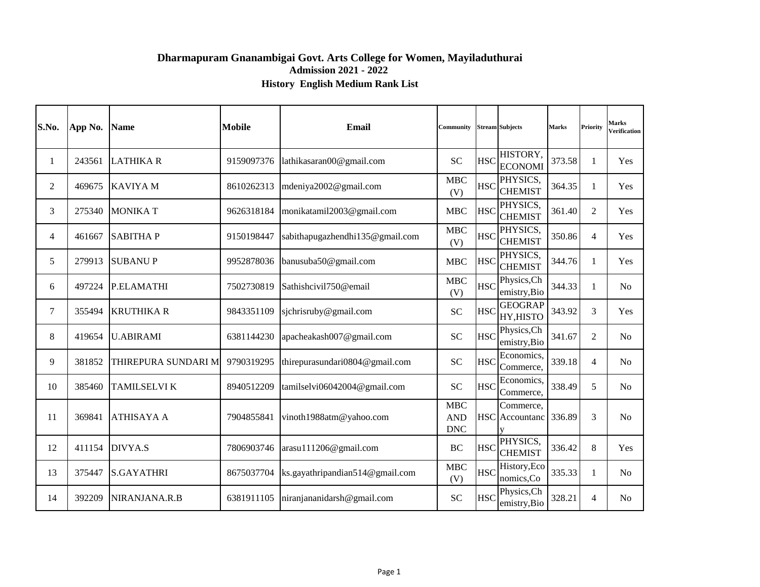#### **Dharmapuram Gnanambigai Govt. Arts College for Women, Mayiladuthurai Admission 2021 - 2022 History English Medium Rank List**

| S.No.          | App No. | <b>Name</b>         | <b>Mobile</b> | Email                           | Community                              |            | <b>Stream Subjects</b>             | <b>Marks</b> | <b>Priority</b> | Marks<br>Verification |
|----------------|---------|---------------------|---------------|---------------------------------|----------------------------------------|------------|------------------------------------|--------------|-----------------|-----------------------|
| 1              | 243561  | <b>LATHIKAR</b>     | 9159097376    | lathikasaran00@gmail.com        | <b>SC</b>                              | <b>HSC</b> | HISTORY,<br><b>ECONOMI</b>         | 373.58       | -1              | Yes                   |
| $\overline{2}$ | 469675  | <b>KAVIYAM</b>      | 8610262313    | mdeniya2002@gmail.com           | <b>MBC</b><br>(V)                      | <b>HSC</b> | PHYSICS,<br><b>CHEMIST</b>         | 364.35       | $\mathbf{1}$    | Yes                   |
| 3              | 275340  | <b>MONIKAT</b>      | 9626318184    | monikatamil2003@gmail.com       | MBC                                    | <b>HSC</b> | PHYSICS,<br><b>CHEMIST</b>         | 361.40       | 2               | Yes                   |
| 4              | 461667  | <b>SABITHAP</b>     | 9150198447    | sabithapugazhendhi135@gmail.com | <b>MBC</b><br>(V)                      | <b>HSC</b> | PHYSICS,<br><b>CHEMIST</b>         | 350.86       | $\overline{4}$  | Yes                   |
| 5              | 279913  | <b>SUBANUP</b>      | 9952878036    | banusuba50@gmail.com            | MBC                                    |            | PHYSICS,<br>HSC CHEMIST            | 344.76       | $\mathbf{1}$    | Yes                   |
| 6              | 497224  | <b>P.ELAMATHI</b>   | 7502730819    | Sathishcivil750@email           | <b>MBC</b><br>(V)                      | <b>HSC</b> | Physics, Ch<br>emistry, Bio        | 344.33       | 1               | N <sub>0</sub>        |
| 7              | 355494  | <b>KRUTHIKA R</b>   | 9843351109    | sjchrisruby@gmail.com           | <b>SC</b>                              | <b>HSC</b> | <b>GEOGRAP</b><br>HY, HISTO        | 343.92       | 3               | Yes                   |
| 8              | 419654  | <b>U.ABIRAMI</b>    | 6381144230    | apacheakash007@gmail.com        | <b>SC</b>                              | <b>HSC</b> | Physics, Ch<br>emistry, Bio        | 341.67       | 2               | N <sub>0</sub>        |
| 9              | 381852  | THIREPURA SUNDARI M | 9790319295    | thirepurasundari0804@gmail.com  | <b>SC</b>                              | <b>HSC</b> | Economics,<br>Commerce,            | 339.18       | $\overline{4}$  | N <sub>0</sub>        |
| 10             | 385460  | <b>TAMILSELVI K</b> | 8940512209    | tamilselvi06042004@gmail.com    | <b>SC</b>                              | <b>HSC</b> | Economics,<br>Commerce,            | 338.49       | 5               | No                    |
| 11             | 369841  | <b>ATHISAYA A</b>   | 7904855841    | vinoth1988atm@yahoo.com         | <b>MBC</b><br><b>AND</b><br><b>DNC</b> |            | Commerce,<br><b>HSC</b> Accountanc | 336.89       | 3               | N <sub>0</sub>        |
| 12             | 411154  | DIVYA.S             | 7806903746    | arasu111206@gmail.com           | BC                                     | <b>HSC</b> | PHYSICS,<br><b>CHEMIST</b>         | 336.42       | 8               | Yes                   |
| 13             | 375447  | <b>S.GAYATHRI</b>   | 8675037704    | ks.gayathripandian514@gmail.com | <b>MBC</b><br>(V)                      | <b>HSC</b> | History, Eco<br>nomics, Co         | 335.33       | $\mathbf{1}$    | No                    |
| 14             | 392209  | NIRANJANA.R.B       | 6381911105    | niranjananidarsh@gmail.com      | <b>SC</b>                              | <b>HSC</b> | Physics, Ch<br>emistry, Bio        | 328.21       | $\overline{4}$  | N <sub>0</sub>        |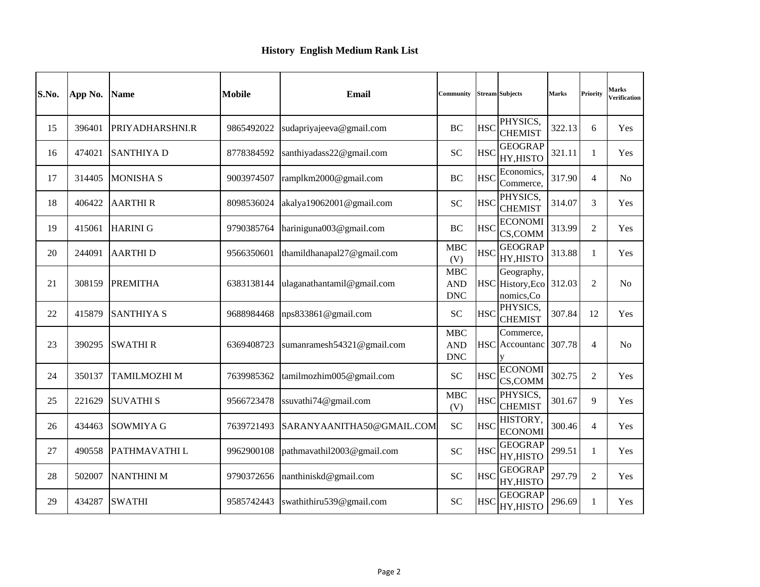| S.No. | App No. | <b>Name</b>         | <b>Mobile</b> | <b>Email</b>               | Community                              |            | <b>Stream Subjects</b>                       | <b>Marks</b> | Priority       | Marks<br>Verification |
|-------|---------|---------------------|---------------|----------------------------|----------------------------------------|------------|----------------------------------------------|--------------|----------------|-----------------------|
| 15    | 396401  | PRIYADHARSHNI.R     | 9865492022    | sudapriyajeeva@gmail.com   | <b>BC</b>                              | <b>HSC</b> | PHYSICS.<br><b>CHEMIST</b>                   | 322.13       | 6              | Yes                   |
| 16    | 474021  | <b>SANTHIYAD</b>    | 8778384592    | santhiyadass22@gmail.com   | <b>SC</b>                              | <b>HSC</b> | <b>GEOGRAP</b><br>HY, HISTO                  | 321.11       | 1              | <b>Yes</b>            |
| 17    | 314405  | <b>MONISHA S</b>    | 9003974507    | ramplkm2000@gmail.com      | BC                                     | <b>HSC</b> | Economics,<br>Commerce,                      | 317.90       | $\overline{4}$ | No                    |
| 18    | 406422  | <b>AARTHIR</b>      | 8098536024    | akalya19062001@gmail.com   | <b>SC</b>                              | <b>HSC</b> | PHYSICS.<br><b>CHEMIST</b>                   | 314.07       | 3              | <b>Yes</b>            |
| 19    | 415061  | <b>HARINI G</b>     | 9790385764    | hariniguna003@gmail.com    | <b>BC</b>                              | <b>HSC</b> | <b>ECONOMI</b><br>CS,COMM                    | 313.99       | 2              | Yes                   |
| 20    | 244091  | <b>AARTHID</b>      | 9566350601    | thamildhanapal27@gmail.com | <b>MBC</b><br>(V)                      | <b>HSC</b> | <b>GEOGRAP</b><br>HY, HISTO                  | 313.88       | 1              | <b>Yes</b>            |
| 21    | 308159  | <b>PREMITHA</b>     | 6383138144    | ulaganathantamil@gmail.com | <b>MBC</b><br><b>AND</b><br><b>DNC</b> |            | Geography,<br>HSC History, Eco<br>nomics, Co | 312.03       | 2              | No                    |
| 22    | 415879  | <b>SANTHIYA S</b>   | 9688984468    | nps833861@gmail.com        | <b>SC</b>                              | <b>HSC</b> | PHYSICS,<br><b>CHEMIST</b>                   | 307.84       | 12             | Yes                   |
| 23    | 390295  | <b>SWATHIR</b>      | 6369408723    | sumanramesh54321@gmail.com | <b>MBC</b><br><b>AND</b><br><b>DNC</b> |            | Commerce,<br><b>HSC</b> Accountanc           | 307.78       | $\overline{4}$ | N <sub>0</sub>        |
| 24    | 350137  | <b>TAMILMOZHI M</b> | 7639985362    | tamilmozhim005@gmail.com   | <b>SC</b>                              | <b>HSC</b> | <b>ECONOMI</b><br>CS,COMM                    | 302.75       | $\overline{2}$ | Yes                   |
| 25    | 221629  | <b>SUVATHIS</b>     | 9566723478    | ssuvathi74@gmail.com       | <b>MBC</b><br>(V)                      | <b>HSC</b> | PHYSICS.<br><b>CHEMIST</b>                   | 301.67       | 9              | Yes                   |
| 26    | 434463  | <b>SOWMIYA G</b>    | 7639721493    | SARANYAANITHA50@GMAIL.COM  | <b>SC</b>                              | <b>HSC</b> | HISTORY.<br><b>ECONOMI</b>                   | 300.46       | $\overline{4}$ | Yes                   |
| 27    | 490558  | PATHMAVATHI L       | 9962900108    | pathmavathil2003@gmail.com | <b>SC</b>                              | <b>HSC</b> | <b>GEOGRAP</b><br>HY, HISTO                  | 299.51       | $\mathbf{1}$   | <b>Yes</b>            |
| 28    | 502007  | <b>NANTHINI M</b>   | 9790372656    | nanthiniskd@gmail.com      | <b>SC</b>                              | <b>HSC</b> | <b>GEOGRAP</b><br>HY, HISTO                  | 297.79       | 2              | <b>Yes</b>            |
| 29    | 434287  | <b>SWATHI</b>       | 9585742443    | swathithiru539@gmail.com   | <b>SC</b>                              | <b>HSC</b> | <b>GEOGRAP</b><br>HY, HISTO                  | 296.69       | -1             | Yes                   |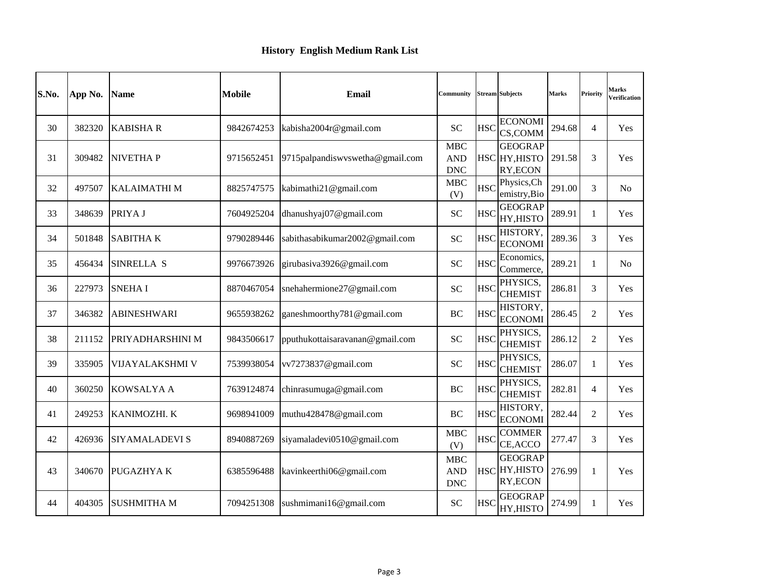| S.No. | App No. | <b>Name</b>         | <b>Mobile</b> | <b>Email</b>                    | <b>Community</b>                       |            | <b>Stream Subjects</b>                      | <b>Marks</b> | Priority       | <b>Marks</b><br>Verification |
|-------|---------|---------------------|---------------|---------------------------------|----------------------------------------|------------|---------------------------------------------|--------------|----------------|------------------------------|
| 30    | 382320  | <b>KABISHA R</b>    | 9842674253    | kabisha2004r@gmail.com          | <b>SC</b>                              | <b>HSC</b> | <b>ECONOMI</b><br>CS,COMM                   | 294.68       | $\overline{4}$ | Yes                          |
| 31    | 309482  | <b>NIVETHAP</b>     | 9715652451    | 9715palpandiswyswetha@gmail.com | <b>MBC</b><br><b>AND</b><br><b>DNC</b> |            | <b>GEOGRAP</b><br>HSC HY, HISTO<br>RY, ECON | 291.58       | 3              | Yes                          |
| 32    | 497507  | <b>KALAIMATHI M</b> | 8825747575    | kabimathi21@gmail.com           | <b>MBC</b><br>(V)                      | <b>HSC</b> | Physics, Ch<br>emistry, Bio                 | 291.00       | 3              | No                           |
| 33    | 348639  | PRIYA J             | 7604925204    | dhanushyaj07@gmail.com          | <b>SC</b>                              | <b>HSC</b> | <b>GEOGRAP</b><br>HY, HISTO                 | 289.91       | $\mathbf{1}$   | Yes                          |
| 34    | 501848  | <b>SABITHAK</b>     | 9790289446    | sabithasabikumar2002@gmail.com  | <b>SC</b>                              | <b>HSC</b> | HISTORY,<br><b>ECONOMI</b>                  | 289.36       | 3              | Yes                          |
| 35    | 456434  | SINRELLA S          | 9976673926    | girubasiva3926@gmail.com        | <b>SC</b>                              | <b>HSC</b> | Economics,<br>Commerce,                     | 289.21       | 1              | N <sub>0</sub>               |
| 36    | 227973  | <b>SNEHAI</b>       | 8870467054    | snehahermione27@gmail.com       | <b>SC</b>                              | <b>HSC</b> | PHYSICS.<br><b>CHEMIST</b>                  | 286.81       | 3              | Yes                          |
| 37    | 346382  | <b>ABINESHWARI</b>  | 9655938262    | ganeshmoorthy781@gmail.com      | <b>BC</b>                              | <b>HSC</b> | <b>HISTORY.</b><br><b>ECONOMI</b>           | 286.45       | $\overline{c}$ | Yes                          |
| 38    | 211152  | PRIYADHARSHINI M    | 9843506617    | pputhukottaisaravanan@gmail.com | <b>SC</b>                              | <b>HSC</b> | PHYSICS.<br><b>CHEMIST</b>                  | 286.12       | $\overline{2}$ | Yes                          |
| 39    | 335905  | VIJAYALAKSHMI V     | 7539938054    | vv7273837@gmail.com             | <b>SC</b>                              | <b>HSC</b> | PHYSICS,<br><b>CHEMIST</b>                  | 286.07       | 1              | Yes                          |
| 40    | 360250  | <b>KOWSALYA A</b>   | 7639124874    | chinrasumuga@gmail.com          | <b>BC</b>                              | <b>HSC</b> | PHYSICS.<br><b>CHEMIST</b>                  | 282.81       | $\overline{4}$ | Yes                          |
| 41    | 249253  | KANIMOZHI. K        | 9698941009    | muthu428478@gmail.com           | <b>BC</b>                              | <b>HSC</b> | HISTORY,<br><b>ECONOMI</b>                  | 282.44       | $\overline{c}$ | Yes                          |
| 42    | 426936  | SIYAMALADEVI S      | 8940887269    | siyamaladevi0510@gmail.com      | <b>MBC</b><br>(V)                      |            | <b>COMMER</b><br>HSC CE, ACCO               | 277.47       | 3              | Yes                          |
| 43    | 340670  | PUGAZHYA K          | 6385596488    | kavinkeerthi06@gmail.com        | <b>MBC</b><br><b>AND</b><br><b>DNC</b> |            | <b>GEOGRAP</b><br>HSC HY, HISTO<br>RY, ECON | 276.99       | $\mathbf{1}$   | Yes                          |
| 44    | 404305  | <b>SUSHMITHA M</b>  | 7094251308    | sushmimani16@gmail.com          | <b>SC</b>                              | <b>HSC</b> | <b>GEOGRAP</b><br>HY, HISTO                 | 274.99       | 1              | Yes                          |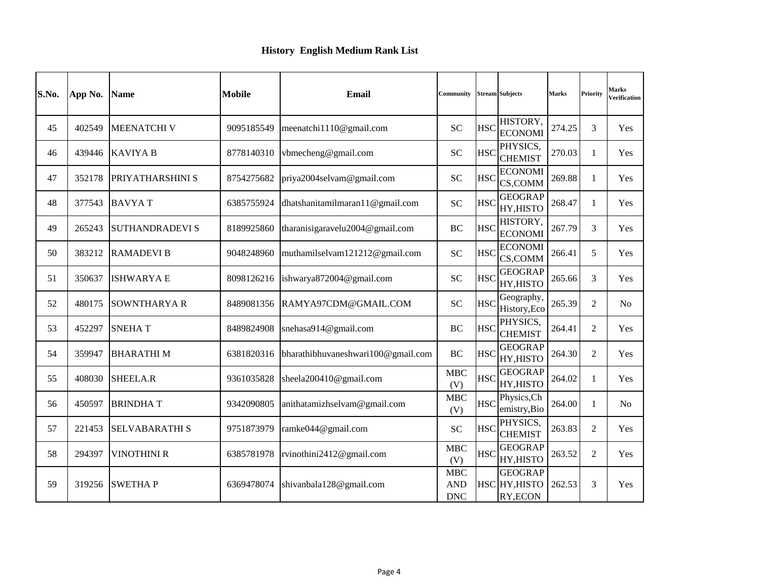| S.No. | App No. | <b>Name</b>            | <b>Mobile</b> | <b>Email</b>                       | Community                              |            | <b>Stream Subjects</b>                      | <b>Marks</b> | Priority       | Marks<br>Verification |
|-------|---------|------------------------|---------------|------------------------------------|----------------------------------------|------------|---------------------------------------------|--------------|----------------|-----------------------|
| 45    | 402549  | <b>MEENATCHI V</b>     | 9095185549    | meenatchi1110@gmail.com            | <b>SC</b>                              | <b>HSC</b> | HISTORY,<br><b>ECONOMI</b>                  | 274.25       | 3              | Yes                   |
| 46    | 439446  | <b>KAVIYA B</b>        | 8778140310    | vbmecheng@gmail.com                | <b>SC</b>                              | <b>HSC</b> | PHYSICS,<br><b>CHEMIST</b>                  | 270.03       | 1              | Yes                   |
| 47    | 352178  | PRIYATHARSHINI S       | 8754275682    | priya2004selvam@gmail.com          | <b>SC</b>                              | <b>HSC</b> | <b>ECONOMI</b><br>CS,COMM                   | 269.88       | 1              | Yes                   |
| 48    | 377543  | <b>BAVYAT</b>          | 6385755924    | dhatshanitamilmaran11@gmail.com    | <b>SC</b>                              | <b>HSC</b> | <b>GEOGRAP</b><br>HY, HISTO                 | 268.47       | $\mathbf{1}$   | Yes                   |
| 49    | 265243  | <b>SUTHANDRADEVI S</b> | 8189925860    | tharanisigaravelu2004@gmail.com    | BC                                     | <b>HSC</b> | HISTORY,<br><b>ECONOMI</b>                  | 267.79       | 3              | Yes                   |
| 50    | 383212  | <b>RAMADEVIB</b>       | 9048248960    | muthamilselvam121212@gmail.com     | <b>SC</b>                              | <b>HSC</b> | <b>ECONOMI</b><br>CS,COMM                   | 266.41       | 5              | Yes                   |
| 51    | 350637  | <b>ISHWARYA E</b>      | 8098126216    | ishwarya872004@gmail.com           | <b>SC</b>                              | <b>HSC</b> | <b>GEOGRAP</b><br>HY, HISTO                 | 265.66       | 3              | Yes                   |
| 52    | 480175  | <b>SOWNTHARYAR</b>     | 8489081356    | RAMYA97CDM@GMAIL.COM               | <b>SC</b>                              | <b>HSC</b> | Geography,<br>History, Eco                  | 265.39       | $\overline{c}$ | N <sub>0</sub>        |
| 53    | 452297  | <b>SNEHAT</b>          | 8489824908    | snehasa914@gmail.com               | <b>BC</b>                              | <b>HSC</b> | PHYSICS,<br><b>CHEMIST</b>                  | 264.41       | 2              | Yes                   |
| 54    | 359947  | <b>BHARATHIM</b>       | 6381820316    | bharathibhuvaneshwari100@gmail.com | <b>BC</b>                              | <b>HSC</b> | <b>GEOGRAP</b><br>HY, HISTO                 | 264.30       | $\overline{2}$ | Yes                   |
| 55    | 408030  | SHEELA.R               | 9361035828    | sheela200410@gmail.com             | <b>MBC</b><br>(V)                      | <b>HSC</b> | <b>GEOGRAP</b><br>HY, HISTO                 | 264.02       | 1              | Yes                   |
| 56    | 450597  | <b>BRINDHAT</b>        | 9342090805    | anithatamizhselvam@gmail.com       | <b>MBC</b><br>(V)                      | <b>HSC</b> | Physics, Ch<br>emistry, Bio                 | 264.00       | 1              | No                    |
| 57    | 221453  | <b>SELVABARATHI S</b>  | 9751873979    | ramke044@gmail.com                 | <b>SC</b>                              | <b>HSC</b> | PHYSICS,<br><b>CHEMIST</b>                  | 263.83       | $\overline{c}$ | Yes                   |
| 58    | 294397  | VINOTHINI R            | 6385781978    | rvinothini2412@gmail.com           | <b>MBC</b><br>(V)                      | <b>HSC</b> | <b>GEOGRAP</b><br>HY, HISTO                 | 263.52       | 2              | Yes                   |
| 59    | 319256  | <b>SWETHAP</b>         | 6369478074    | shivanbala128@gmail.com            | <b>MBC</b><br><b>AND</b><br><b>DNC</b> |            | <b>GEOGRAP</b><br>HSC HY, HISTO<br>RY, ECON | 262.53       | 3              | <b>Yes</b>            |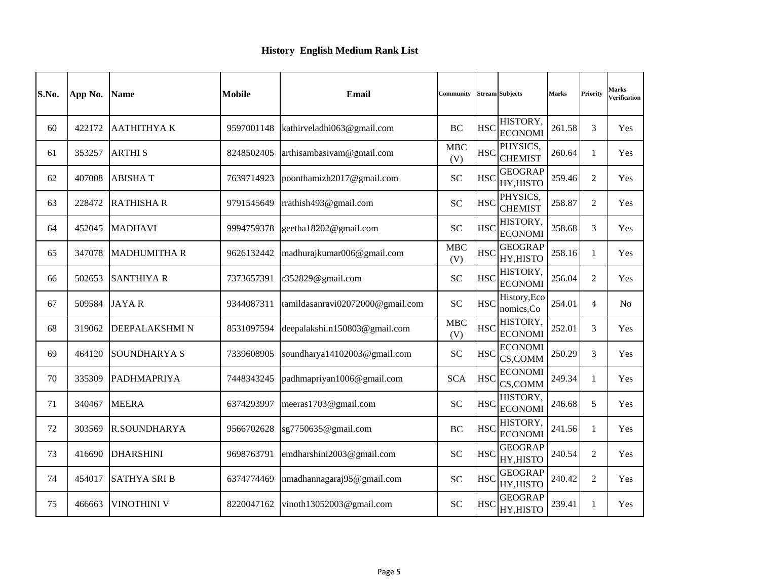| S.No. | App No. | <b>Name</b>         | <b>Mobile</b> | <b>Email</b>                     | Community         |            | <b>Stream Subjects</b>           | <b>Marks</b> | Priority       | Marks<br>Verification |
|-------|---------|---------------------|---------------|----------------------------------|-------------------|------------|----------------------------------|--------------|----------------|-----------------------|
| 60    | 422172  | ААТНІТНҮА К         | 9597001148    | kathirveladhi063@gmail.com       | <b>BC</b>         | <b>HSC</b> | <b>HISTORY</b><br><b>ECONOMI</b> | 261.58       | 3              | Yes                   |
| 61    | 353257  | <b>ARTHIS</b>       | 8248502405    | arthisambasivam@gmail.com        | <b>MBC</b><br>(V) | <b>HSC</b> | PHYSICS.<br><b>CHEMIST</b>       | 260.64       | $\mathbf{1}$   | Yes                   |
| 62    | 407008  | <b>ABISHAT</b>      | 7639714923    | poonthamizh2017@gmail.com        | <b>SC</b>         | <b>HSC</b> | <b>GEOGRAP</b><br>HY, HISTO      | 259.46       | $\overline{2}$ | Yes                   |
| 63    | 228472  | <b>RATHISHAR</b>    | 9791545649    | rrathish493@gmail.com            | <b>SC</b>         | <b>HSC</b> | PHYSICS.<br><b>CHEMIST</b>       | 258.87       | $\mathcal{L}$  | Yes                   |
| 64    | 452045  | <b>MADHAVI</b>      | 9994759378    | geetha18202@gmail.com            | <b>SC</b>         | <b>HSC</b> | HISTORY,<br><b>ECONOMI</b>       | 258.68       | 3              | Yes                   |
| 65    | 347078  | <b>MADHUMITHA R</b> | 9626132442    | madhurajkumar006@gmail.com       | <b>MBC</b><br>(V) | <b>HSC</b> | <b>GEOGRAP</b><br>HY, HISTO      | 258.16       | $\mathbf{1}$   | Yes                   |
| 66    | 502653  | <b>SANTHIYA R</b>   | 7373657391    | r352829@gmail.com                | <b>SC</b>         | <b>HSC</b> | HISTORY.<br><b>ECONOMI</b>       | 256.04       | $\overline{2}$ | <b>Yes</b>            |
| 67    | 509584  | <b>JAYAR</b>        | 9344087311    | tamildasanravi02072000@gmail.com | <b>SC</b>         | <b>HSC</b> | History, Eco<br>nomics, Co       | 254.01       | $\overline{4}$ | N <sub>o</sub>        |
| 68    | 319062  | DEEPALAKSHMI N      | 8531097594    | deepalakshi.n150803@gmail.com    | <b>MBC</b><br>(V) | <b>HSC</b> | HISTORY,<br><b>ECONOMI</b>       | 252.01       | 3              | Yes                   |
| 69    | 464120  | SOUNDHARYA S        | 7339608905    | soundharya14102003@gmail.com     | <b>SC</b>         | <b>HSC</b> | <b>ECONOMI</b><br>CS,COMM        | 250.29       | 3              | Yes                   |
| 70    | 335309  | <b>PADHMAPRIYA</b>  | 7448343245    | padhmapriyan1006@gmail.com       | <b>SCA</b>        | <b>HSC</b> | <b>ECONOMI</b><br>CS,COMM        | 249.34       | $\mathbf{1}$   | Yes                   |
| 71    | 340467  | <b>MEERA</b>        | 6374293997    | meeras1703@gmail.com             | <b>SC</b>         | <b>HSC</b> | HISTORY,<br><b>ECONOMI</b>       | 246.68       | 5              | Yes                   |
| 72    | 303569  | <b>R.SOUNDHARYA</b> | 9566702628    | sg7750635@gmail.com              | BC                | <b>HSC</b> | HISTORY.<br><b>ECONOMI</b>       | 241.56       | $\mathbf{1}$   | Yes                   |
| 73    | 416690  | <b>DHARSHINI</b>    | 9698763791    | emdharshini2003@gmail.com        | <b>SC</b>         | <b>HSC</b> | <b>GEOGRAP</b><br>HY, HISTO      | 240.54       | $\overline{2}$ | <b>Yes</b>            |
| 74    | 454017  | <b>SATHYA SRIB</b>  | 6374774469    | nmadhannagaraj95@gmail.com       | <b>SC</b>         | <b>HSC</b> | <b>GEOGRAP</b><br>HY, HISTO      | 240.42       | 2              | <b>Yes</b>            |
| 75    | 466663  | <b>VINOTHINI V</b>  | 8220047162    | vinoth13052003@gmail.com         | <b>SC</b>         | <b>HSC</b> | <b>GEOGRAP</b><br>HY, HISTO      | 239.41       | -1             | Yes                   |